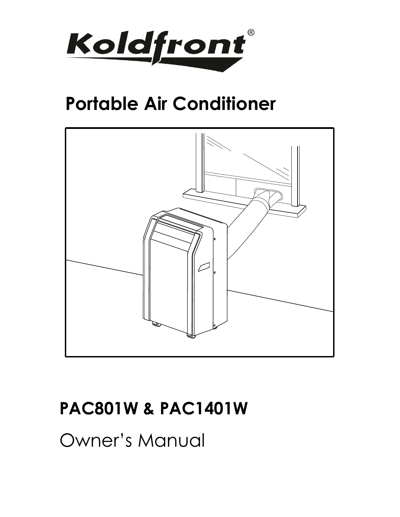

# **Portable Air Conditioner**



# **PAC801W & PAC1401W**

Owner's Manual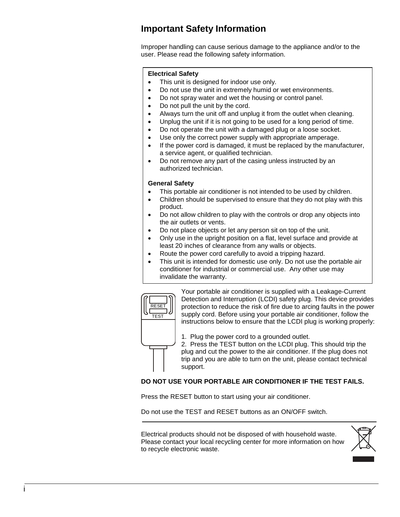## <span id="page-1-0"></span>**Important Safety Information**

Improper handling can cause serious damage to the appliance and/or to the user. Please read the following safety information.

#### **Electrical Safety**

- This unit is designed for indoor use only.
- Do not use the unit in extremely humid or wet environments.
- Do not spray water and wet the housing or control panel.
- Do not pull the unit by the cord.
- Always turn the unit off and unplug it from the outlet when cleaning.
- Unplug the unit if it is not going to be used for a long period of time.
- Do not operate the unit with a damaged plug or a loose socket.
- Use only the correct power supply with appropriate amperage.
- If the power cord is damaged, it must be replaced by the manufacturer, a service agent, or qualified technician.
- Do not remove any part of the casing unless instructed by an authorized technician.

#### **General Safety**

- This portable air conditioner is not intended to be used by children.
- Children should be supervised to ensure that they do not play with this product.
- Do not allow children to play with the controls or drop any objects into the air outlets or vents.
- Do not place objects or let any person sit on top of the unit.
- Only use in the upright position on a flat, level surface and provide at least 20 inches of clearance from any walls or objects.
- Route the power cord carefully to avoid a tripping hazard.
- This unit is intended for domestic use only. Do not use the portable air conditioner for industrial or commercial use. Any other use may invalidate the warranty.



Your portable air conditioner is supplied with a Leakage-Current Detection and Interruption (LCDI) safety plug. This device provides protection to reduce the risk of fire due to arcing faults in the power supply cord. Before using your portable air conditioner, follow the instructions below to ensure that the LCDI plug is working properly:

- 1. Plug the power cord to a grounded outlet.
- 2. Press the TEST button on the LCDI plug. This should trip the plug and cut the power to the air conditioner. If the plug does not trip and you are able to turn on the unit, please contact technical support.

#### **DO NOT USE YOUR PORTABLE AIR CONDITIONER IF THE TEST FAILS.**

Press the RESET button to start using your air conditioner.

Do not use the TEST and RESET buttons as an ON/OFF switch.

Electrical products should not be disposed of with household waste. Please contact your local recycling center for more information on how to recycle electronic waste.

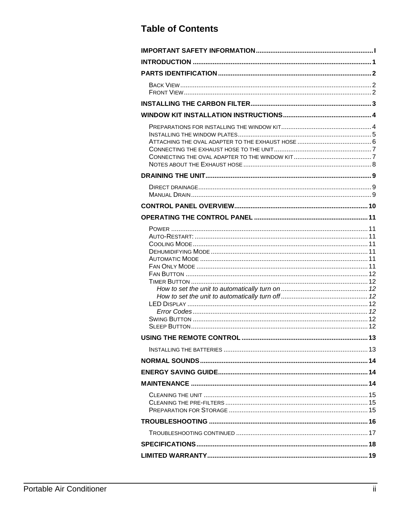## **Table of Contents**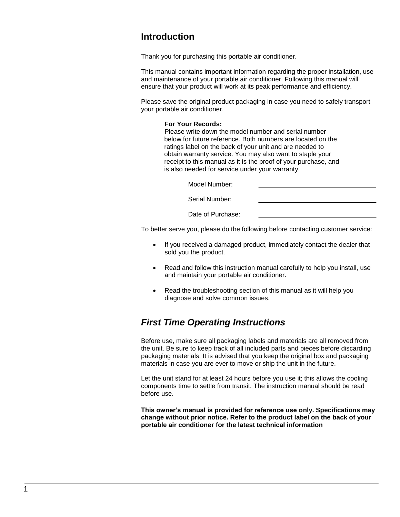#### <span id="page-3-0"></span>**Introduction**

Thank you for purchasing this portable air conditioner.

This manual contains important information regarding the proper installation, use and maintenance of your portable air conditioner. Following this manual will ensure that your product will work at its peak performance and efficiency.

Please save the original product packaging in case you need to safely transport your portable air conditioner.

#### **For Your Records:**

Please write down the model number and serial number below for future reference. Both numbers are located on the ratings label on the back of your unit and are needed to obtain warranty service. You may also want to staple your receipt to this manual as it is the proof of your purchase, and is also needed for service under your warranty.

Model Number:

Serial Number:

Date of Purchase:

To better serve you, please do the following before contacting customer service:

- If you received a damaged product, immediately contact the dealer that sold you the product.
- Read and follow this instruction manual carefully to help you install, use and maintain your portable air conditioner.
- Read the troubleshooting section of this manual as it will help you diagnose and solve common issues.

#### *First Time Operating Instructions*

Before use, make sure all packaging labels and materials are all removed from the unit. Be sure to keep track of all included parts and pieces before discarding packaging materials. It is advised that you keep the original box and packaging materials in case you are ever to move or ship the unit in the future.

Let the unit stand for at least 24 hours before you use it; this allows the cooling components time to settle from transit. The instruction manual should be read before use.

**This owner's manual is provided for reference use only. Specifications may change without prior notice. Refer to the product label on the back of your portable air conditioner for the latest technical information**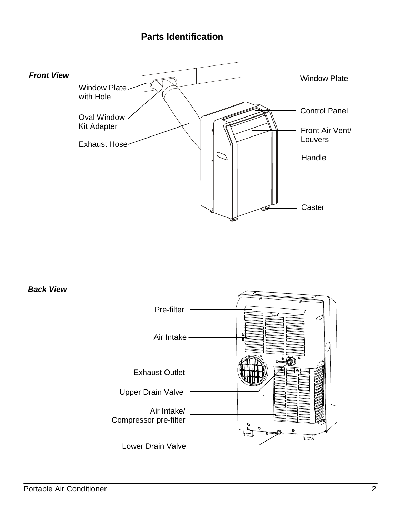## <span id="page-4-0"></span>**Parts Identification**

<span id="page-4-2"></span>

<span id="page-4-1"></span>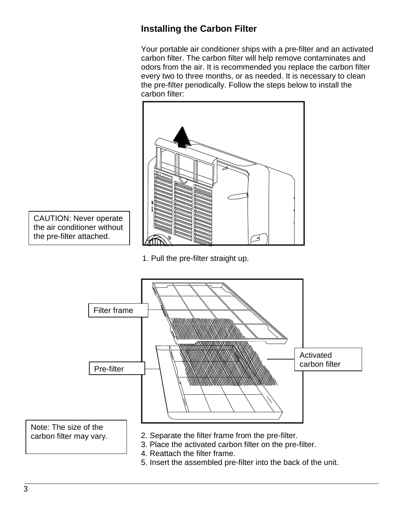## <span id="page-5-0"></span>**Installing the Carbon Filter**

Your portable air conditioner ships with a pre-filter and an activated carbon filter. The carbon filter will help remove contaminates and odors from the air. It is recommended you replace the carbon filter every two to three months, or as needed. It is necessary to clean the pre-filter periodically. Follow the steps below to install the carbon filter:



CAUTION: Never operate the air conditioner without the pre-filter attached.

1. Pull the pre-filter straight up.



5. Insert the assembled pre-filter into the back of the unit.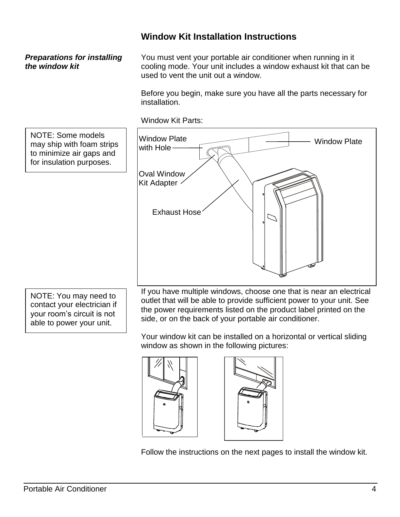#### <span id="page-6-0"></span>**Window Kit Installation Instructions**

#### <span id="page-6-1"></span>*Preparations for installing the window kit*

You must vent your portable air conditioner when running in it cooling mode. Your unit includes a window exhaust kit that can be used to vent the unit out a window.

Before you begin, make sure you have all the parts necessary for installation.



Window Kit Parts:

Your window kit can be installed on a horizontal or vertical sliding window as shown in the following pictures:

side, or on the back of your portable air conditioner.





Follow the instructions on the next pages to install the window kit.

able to power your unit.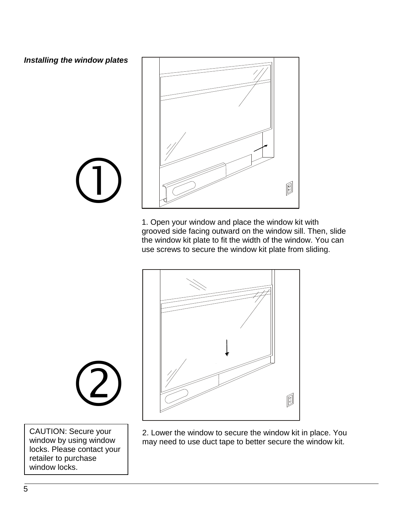<span id="page-7-0"></span>*Installing the window plates*



1. Open your window and place the window kit with grooved side facing outward on the window sill. Then, slide the window kit plate to fit the width of the window. You can use screws to secure the window kit plate from sliding.



2. Lower the window to secure the window kit in place. You may need to use duct tape to better secure the window kit.



 $\begin{picture}(22,20) \put(0,0){\line(1,0){10}} \put(15,0){\line(1,0){10}} \put(15,0){\line(1,0){10}} \put(15,0){\line(1,0){10}} \put(15,0){\line(1,0){10}} \put(15,0){\line(1,0){10}} \put(15,0){\line(1,0){10}} \put(15,0){\line(1,0){10}} \put(15,0){\line(1,0){10}} \put(15,0){\line(1,0){10}} \put(15,0){\line(1,0){10}} \put(15,0){\line(1$ 

CAUTION: Secure your window by using window locks. Please contact your retailer to purchase window locks.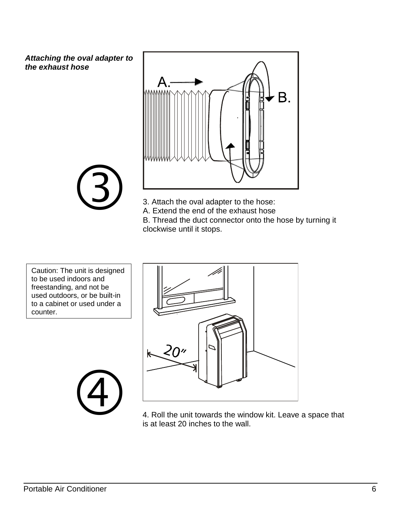<span id="page-8-0"></span>*Attaching the oval adapter to the exhaust hose*



 $\circled{3}$ 

3. Attach the oval adapter to the hose:

A. Extend the end of the exhaust hose

B. Thread the duct connector onto the hose by turning it clockwise until it stops.

Caution: The unit is designed to be used indoors and freestanding, and not be used outdoors, or be built-in to a cabinet or used under a counter.





4. Roll the unit towards the window kit. Leave a space that is at least 20 inches to the wall.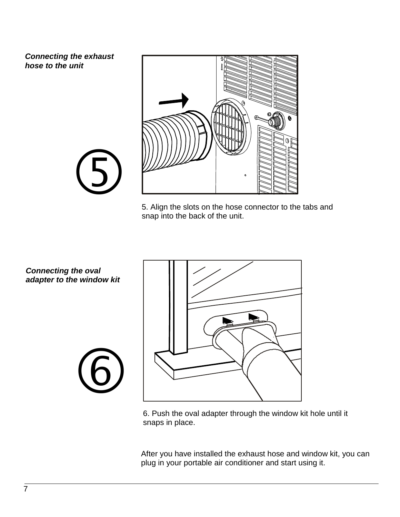<span id="page-9-0"></span>*Connecting the exhaust hose to the unit*



5. Align the slots on the hose connector to the tabs and snap into the back of the unit.

<span id="page-9-1"></span>*Connecting the oval adapter to the window kit*

 $\bigodot$ 

 $\circled{6}$ 



6. Push the oval adapter through the window kit hole until it snaps in place.

After you have installed the exhaust hose and window kit, you can plug in your portable air conditioner and start using it.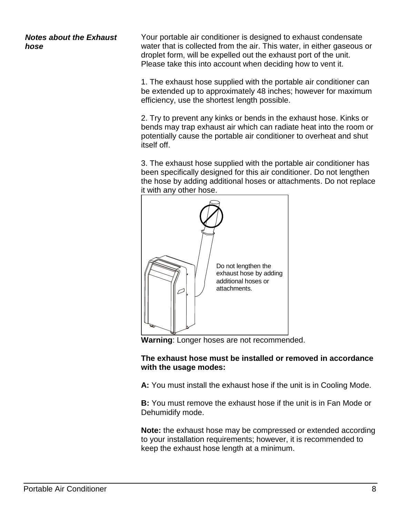<span id="page-10-0"></span>*Notes about the Exhaust hose*

Your portable air conditioner is designed to exhaust condensate water that is collected from the air. This water, in either gaseous or droplet form, will be expelled out the exhaust port of the unit. Please take this into account when deciding how to vent it.

1. The exhaust hose supplied with the portable air conditioner can be extended up to approximately 48 inches; however for maximum efficiency, use the shortest length possible.

2. Try to prevent any kinks or bends in the exhaust hose. Kinks or bends may trap exhaust air which can radiate heat into the room or potentially cause the portable air conditioner to overheat and shut itself off.

3. The exhaust hose supplied with the portable air conditioner has been specifically designed for this air conditioner. Do not lengthen the hose by adding additional hoses or attachments. Do not replace it with any other hose.



**Warning**: Longer hoses are not recommended.

#### **The exhaust hose must be installed or removed in accordance with the usage modes:**

**A:** You must install the exhaust hose if the unit is in Cooling Mode.

**B:** You must remove the exhaust hose if the unit is in Fan Mode or Dehumidify mode.

**Note:** the exhaust hose may be compressed or extended according to your installation requirements; however, it is recommended to keep the exhaust hose length at a minimum.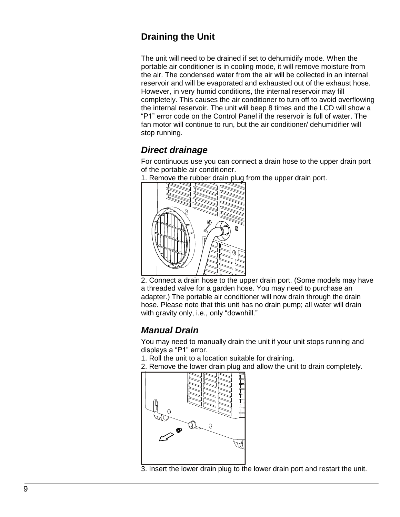## <span id="page-11-0"></span>**Draining the Unit**

The unit will need to be drained if set to dehumidify mode. When the portable air conditioner is in cooling mode, it will remove moisture from the air. The condensed water from the air will be collected in an internal reservoir and will be evaporated and exhausted out of the exhaust hose. However, in very humid conditions, the internal reservoir may fill completely. This causes the air conditioner to turn off to avoid overflowing the internal reservoir. The unit will beep 8 times and the LCD will show a "P1" error code on the Control Panel if the reservoir is full of water. The fan motor will continue to run, but the air conditioner/ dehumidifier will stop running.

## <span id="page-11-1"></span>*Direct drainage*

For continuous use you can connect a drain hose to the upper drain port of the portable air conditioner.



1. Remove the rubber drain plug from the upper drain port.

2. Connect a drain hose to the upper drain port. (Some models may have a threaded valve for a garden hose. You may need to purchase an adapter.) The portable air conditioner will now drain through the drain hose. Please note that this unit has no drain pump; all water will drain with gravity only, i.e., only "downhill."

## <span id="page-11-2"></span>*Manual Drain*

You may need to manually drain the unit if your unit stops running and displays a "P1" error.

1. Roll the unit to a location suitable for draining.

2. Remove the lower drain plug and allow the unit to drain completely.



3. Insert the lower drain plug to the lower drain port and restart the unit.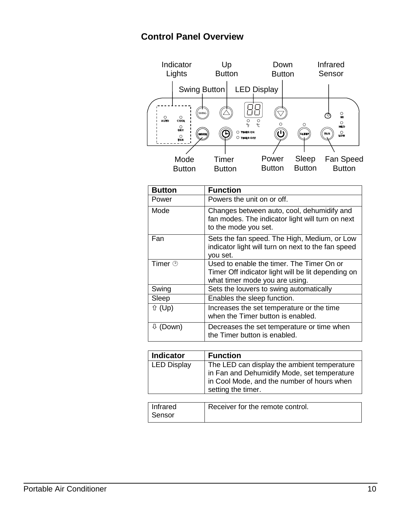## <span id="page-12-0"></span>**Control Panel Overview**



| <b>Button</b>        | <b>Function</b>                                                                                                                   |
|----------------------|-----------------------------------------------------------------------------------------------------------------------------------|
| Power                | Powers the unit on or off.                                                                                                        |
| Mode                 | Changes between auto, cool, dehumidify and<br>fan modes. The indicator light will turn on next<br>to the mode you set.            |
| Fan                  | Sets the fan speed. The High, Medium, or Low<br>indicator light will turn on next to the fan speed<br>you set.                    |
| Timer $\circledcirc$ | Used to enable the timer. The Timer On or<br>Timer Off indicator light will be lit depending on<br>what timer mode you are using. |
| Swing                | Sets the louvers to swing automatically                                                                                           |
| Sleep                | Enables the sleep function.                                                                                                       |
| <b>↑ (Up)</b>        | Increases the set temperature or the time<br>when the Timer button is enabled.                                                    |
| $\psi$ (Down)        | Decreases the set temperature or time when<br>the Timer button is enabled.                                                        |

| <b>Indicator</b>   | <b>Function</b>                                                                                                                                                |
|--------------------|----------------------------------------------------------------------------------------------------------------------------------------------------------------|
| <b>LED Display</b> | The LED can display the ambient temperature<br>in Fan and Dehumidify Mode, set temperature<br>in Cool Mode, and the number of hours when<br>setting the timer. |

| I Infrared | Receiver for the remote control. |
|------------|----------------------------------|
| ∣ Sensor   |                                  |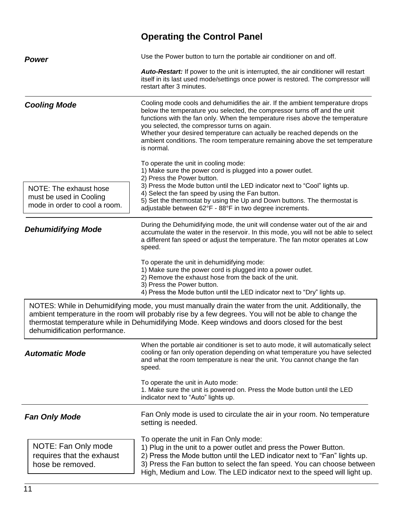<span id="page-13-6"></span><span id="page-13-5"></span><span id="page-13-4"></span><span id="page-13-3"></span><span id="page-13-2"></span><span id="page-13-1"></span><span id="page-13-0"></span>

|                                                                                    | <b>Operating the Control Panel</b>                                                                                                                                                                                                                                                                                                                                                                                                                                   |  |
|------------------------------------------------------------------------------------|----------------------------------------------------------------------------------------------------------------------------------------------------------------------------------------------------------------------------------------------------------------------------------------------------------------------------------------------------------------------------------------------------------------------------------------------------------------------|--|
| <b>Power</b>                                                                       | Use the Power button to turn the portable air conditioner on and off.                                                                                                                                                                                                                                                                                                                                                                                                |  |
|                                                                                    | <b>Auto-Restart:</b> If power to the unit is interrupted, the air conditioner will restart<br>itself in its last used mode/settings once power is restored. The compressor will<br>restart after 3 minutes.                                                                                                                                                                                                                                                          |  |
| <b>Cooling Mode</b>                                                                | Cooling mode cools and dehumidifies the air. If the ambient temperature drops<br>below the temperature you selected, the compressor turns off and the unit<br>functions with the fan only. When the temperature rises above the temperature<br>you selected, the compressor turns on again.<br>Whether your desired temperature can actually be reached depends on the<br>ambient conditions. The room temperature remaining above the set temperature<br>is normal. |  |
|                                                                                    | To operate the unit in cooling mode:<br>1) Make sure the power cord is plugged into a power outlet.                                                                                                                                                                                                                                                                                                                                                                  |  |
| NOTE: The exhaust hose<br>must be used in Cooling<br>mode in order to cool a room. | 2) Press the Power button.<br>3) Press the Mode button until the LED indicator next to "Cool" lights up.<br>4) Select the fan speed by using the Fan button.<br>5) Set the thermostat by using the Up and Down buttons. The thermostat is<br>adjustable between 62°F - 88°F in two degree increments.                                                                                                                                                                |  |
| <b>Dehumidifying Mode</b>                                                          | During the Dehumidifying mode, the unit will condense water out of the air and<br>accumulate the water in the reservoir. In this mode, you will not be able to select<br>a different fan speed or adjust the temperature. The fan motor operates at Low<br>speed.                                                                                                                                                                                                    |  |
|                                                                                    | To operate the unit in dehumidifying mode:<br>1) Make sure the power cord is plugged into a power outlet.<br>2) Remove the exhaust hose from the back of the unit.<br>3) Press the Power button.<br>4) Press the Mode button until the LED indicator next to "Dry" lights up.                                                                                                                                                                                        |  |
| dehumidification performance.                                                      | NOTES: While in Dehumidifying mode, you must manually drain the water from the unit. Additionally, the<br>ambient temperature in the room will probably rise by a few degrees. You will not be able to change the<br>thermostat temperature while in Dehumidifying Mode. Keep windows and doors closed for the best                                                                                                                                                  |  |
| <b>Automatic Mode</b>                                                              | When the portable air conditioner is set to auto mode, it will automatically select<br>cooling or fan only operation depending on what temperature you have selected<br>and what the room temperature is near the unit. You cannot change the fan<br>speed.                                                                                                                                                                                                          |  |
|                                                                                    | To operate the unit in Auto mode:<br>1. Make sure the unit is powered on. Press the Mode button until the LED<br>indicator next to "Auto" lights up.                                                                                                                                                                                                                                                                                                                 |  |
| <b>Fan Only Mode</b>                                                               | Fan Only mode is used to circulate the air in your room. No temperature<br>setting is needed.                                                                                                                                                                                                                                                                                                                                                                        |  |
| NOTE: Fan Only mode<br>requires that the exhaust<br>hose be removed.               | To operate the unit in Fan Only mode:<br>1) Plug in the unit to a power outlet and press the Power Button.<br>2) Press the Mode button until the LED indicator next to "Fan" lights up.<br>3) Press the Fan button to select the fan speed. You can choose between<br>High, Medium and Low. The LED indicator next to the speed will light up.                                                                                                                       |  |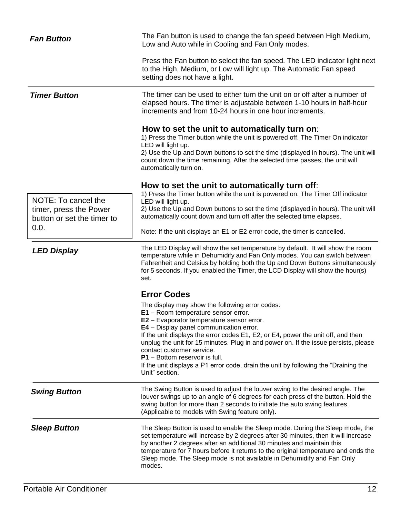<span id="page-14-7"></span><span id="page-14-6"></span><span id="page-14-5"></span><span id="page-14-4"></span><span id="page-14-3"></span><span id="page-14-2"></span><span id="page-14-1"></span><span id="page-14-0"></span>

| <b>Fan Button</b>                                            | The Fan button is used to change the fan speed between High Medium,<br>Low and Auto while in Cooling and Fan Only modes.                                                                                                                                                                                                                                                                                                                                                                                                                               |  |
|--------------------------------------------------------------|--------------------------------------------------------------------------------------------------------------------------------------------------------------------------------------------------------------------------------------------------------------------------------------------------------------------------------------------------------------------------------------------------------------------------------------------------------------------------------------------------------------------------------------------------------|--|
|                                                              | Press the Fan button to select the fan speed. The LED indicator light next<br>to the High, Medium, or Low will light up. The Automatic Fan speed<br>setting does not have a light.                                                                                                                                                                                                                                                                                                                                                                     |  |
| <b>Timer Button</b>                                          | The timer can be used to either turn the unit on or off after a number of<br>elapsed hours. The timer is adjustable between 1-10 hours in half-hour<br>increments and from 10-24 hours in one hour increments.                                                                                                                                                                                                                                                                                                                                         |  |
|                                                              | How to set the unit to automatically turn on:<br>1) Press the Timer button while the unit is powered off. The Timer On indicator<br>LED will light up.<br>2) Use the Up and Down buttons to set the time (displayed in hours). The unit will<br>count down the time remaining. After the selected time passes, the unit will<br>automatically turn on.                                                                                                                                                                                                 |  |
|                                                              | How to set the unit to automatically turn off:                                                                                                                                                                                                                                                                                                                                                                                                                                                                                                         |  |
| NOTE: To cancel the                                          | 1) Press the Timer button while the unit is powered on. The Timer Off indicator<br>LED will light up.                                                                                                                                                                                                                                                                                                                                                                                                                                                  |  |
| timer, press the Power<br>button or set the timer to<br>0.0. | 2) Use the Up and Down buttons to set the time (displayed in hours). The unit will<br>automatically count down and turn off after the selected time elapses.                                                                                                                                                                                                                                                                                                                                                                                           |  |
|                                                              | Note: If the unit displays an E1 or E2 error code, the timer is cancelled.                                                                                                                                                                                                                                                                                                                                                                                                                                                                             |  |
| <b>LED Display</b>                                           | The LED Display will show the set temperature by default. It will show the room<br>temperature while in Dehumidify and Fan Only modes. You can switch between<br>Fahrenheit and Celsius by holding both the Up and Down Buttons simultaneously<br>for 5 seconds. If you enabled the Timer, the LCD Display will show the hour(s)<br>set.                                                                                                                                                                                                               |  |
|                                                              | <b>Error Codes</b>                                                                                                                                                                                                                                                                                                                                                                                                                                                                                                                                     |  |
|                                                              | The display may show the following error codes:<br>E1 - Room temperature sensor error.<br><b>E2</b> – Evaporator temperature sensor error.<br><b>E4</b> – Display panel communication error.<br>If the unit displays the error codes E1, E2, or E4, power the unit off, and then<br>unplug the unit for 15 minutes. Plug in and power on. If the issue persists, please<br>contact customer service.<br><b>P1</b> – Bottom reservoir is full.<br>If the unit displays a P1 error code, drain the unit by following the "Draining the<br>Unit" section. |  |
| <b>Swing Button</b>                                          | The Swing Button is used to adjust the louver swing to the desired angle. The<br>louver swings up to an angle of 6 degrees for each press of the button. Hold the<br>swing button for more than 2 seconds to initiate the auto swing features.<br>(Applicable to models with Swing feature only).                                                                                                                                                                                                                                                      |  |
| <b>Sleep Button</b>                                          | The Sleep Button is used to enable the Sleep mode. During the Sleep mode, the<br>set temperature will increase by 2 degrees after 30 minutes, then it will increase<br>by another 2 degrees after an additional 30 minutes and maintain this<br>temperature for 7 hours before it returns to the original temperature and ends the<br>Sleep mode. The Sleep mode is not available in Dehumidify and Fan Only<br>modes.                                                                                                                                 |  |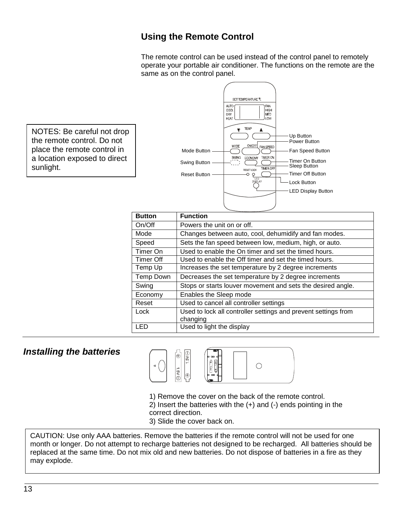#### <span id="page-15-0"></span>**Using the Remote Control**

The remote control can be used instead of the control panel to remotely operate your portable air conditioner. The functions on the remote are the same as on the control panel.



#### <span id="page-15-1"></span>*Installing the batteries*



- 1) Remove the cover on the back of the remote control.
- 2) Insert the batteries with the (+) and (-) ends pointing in the correct direction.
- 3) Slide the cover back on.

CAUTION: Use only AAA batteries. Remove the batteries if the remote control will not be used for one month or longer. Do not attempt to recharge batteries not designed to be recharged. All batteries should be replaced at the same time. Do not mix old and new batteries. Do not dispose of batteries in a fire as they may explode.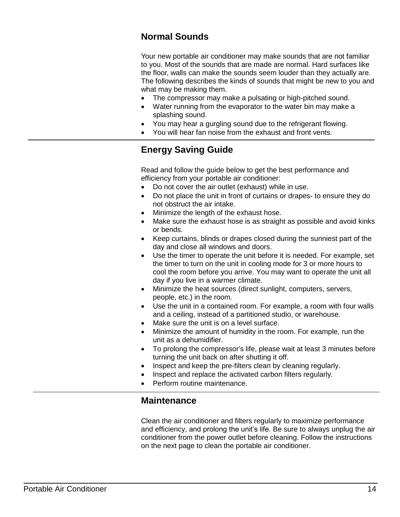#### <span id="page-16-0"></span>**Normal Sounds**

Your new portable air conditioner may make sounds that are not familiar to you. Most of the sounds that are made are normal. Hard surfaces like the floor, walls can make the sounds seem louder than they actually are. The following describes the kinds of sounds that might be new to you and what may be making them.

- The compressor may make a pulsating or high-pitched sound.
- Water running from the evaporator to the water bin may make a splashing sound.
- You may hear a gurgling sound due to the refrigerant flowing.
- You will hear fan noise from the exhaust and front vents.

## <span id="page-16-1"></span>**Energy Saving Guide**

Read and follow the guide below to get the best performance and efficiency from your portable air conditioner:

- Do not cover the air outlet (exhaust) while in use.
- Do not place the unit in front of curtains or drapes- to ensure they do not obstruct the air intake.
- Minimize the length of the exhaust hose.
- Make sure the exhaust hose is as straight as possible and avoid kinks or bends.
- Keep curtains, blinds or drapes closed during the sunniest part of the day and close all windows and doors.
- Use the timer to operate the unit before it is needed. For example, set the timer to turn on the unit in cooling mode for 3 or more hours to cool the room before you arrive. You may want to operate the unit all day if you live in a warmer climate.
- Minimize the heat sources (direct sunlight, computers, servers, people, etc.) in the room.
- Use the unit in a contained room. For example, a room with four walls and a ceiling, instead of a partitioned studio, or warehouse.
- Make sure the unit is on a level surface.
- Minimize the amount of humidity in the room. For example, run the unit as a dehumidifier.
- To prolong the compressor's life, please wait at least 3 minutes before turning the unit back on after shutting it off.
- Inspect and keep the pre-filters clean by cleaning regularly.
- Inspect and replace the activated carbon filters regularly.
- <span id="page-16-2"></span>Perform routine maintenance.

#### **Maintenance**

Clean the air conditioner and filters regularly to maximize performance and efficiency, and prolong the unit's life. Be sure to always unplug the air conditioner from the power outlet before cleaning. Follow the instructions on the next page to clean the portable air conditioner.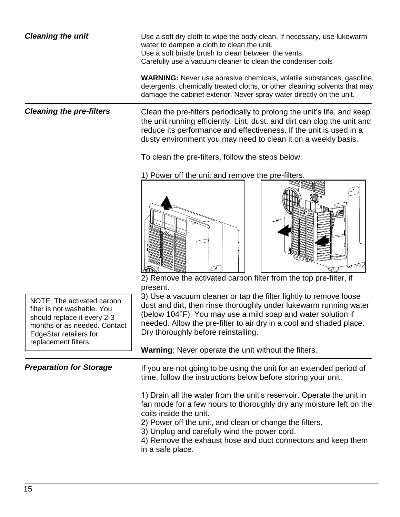<span id="page-17-2"></span><span id="page-17-1"></span><span id="page-17-0"></span>

| <b>Cleaning the unit</b>                                                                                                                                                                                                                                                                                                                                              | Use a soft dry cloth to wipe the body clean. If necessary, use lukewarm<br>water to dampen a cloth to clean the unit.<br>Use a soft bristle brush to clean between the vents.<br>Carefully use a vacuum cleaner to clean the condenser coils                                                                                                                                                          |  |  |
|-----------------------------------------------------------------------------------------------------------------------------------------------------------------------------------------------------------------------------------------------------------------------------------------------------------------------------------------------------------------------|-------------------------------------------------------------------------------------------------------------------------------------------------------------------------------------------------------------------------------------------------------------------------------------------------------------------------------------------------------------------------------------------------------|--|--|
|                                                                                                                                                                                                                                                                                                                                                                       | <b>WARNING:</b> Never use abrasive chemicals, volatile substances, gasoline,<br>detergents, chemically treated cloths, or other cleaning solvents that may<br>damage the cabinet exterior. Never spray water directly on the unit.                                                                                                                                                                    |  |  |
| <b>Cleaning the pre-filters</b>                                                                                                                                                                                                                                                                                                                                       | Clean the pre-filters periodically to prolong the unit's life, and keep<br>the unit running efficiently. Lint, dust, and dirt can clog the unit and<br>reduce its performance and effectiveness. If the unit is used in a<br>dusty environment you may need to clean it on a weekly basis.                                                                                                            |  |  |
|                                                                                                                                                                                                                                                                                                                                                                       | To clean the pre-filters, follow the steps below:                                                                                                                                                                                                                                                                                                                                                     |  |  |
|                                                                                                                                                                                                                                                                                                                                                                       | 1) Power off the unit and remove the pre-filters.                                                                                                                                                                                                                                                                                                                                                     |  |  |
| NOTE: The activated carbon<br>filter is not washable. You<br>should replace it every 2-3<br>months or as needed. Contact<br><b>EdgeStar retailers for</b><br>replacement filters.                                                                                                                                                                                     | 2) Remove the activated carbon filter from the top pre-filter, if<br>present.<br>3) Use a vacuum cleaner or tap the filter lightly to remove loose<br>dust and dirt, then rinse thoroughly under lukewarm running water<br>(below 104°F). You may use a mild soap and water solution if<br>needed. Allow the pre-filter to air dry in a cool and shaded place.<br>Dry thoroughly before reinstalling. |  |  |
|                                                                                                                                                                                                                                                                                                                                                                       | <b>Warning:</b> Never operate the unit without the filters.                                                                                                                                                                                                                                                                                                                                           |  |  |
| <b>Preparation for Storage</b>                                                                                                                                                                                                                                                                                                                                        | If you are not going to be using the unit for an extended period of<br>time, follow the instructions below before storing your unit:                                                                                                                                                                                                                                                                  |  |  |
| 1) Drain all the water from the unit's reservoir. Operate the unit in<br>fan mode for a few hours to thoroughly dry any moisture left on the<br>coils inside the unit.<br>2) Power off the unit, and clean or change the filters.<br>3) Unplug and carefully wind the power cord.<br>4) Remove the exhaust hose and duct connectors and keep them<br>in a safe place. |                                                                                                                                                                                                                                                                                                                                                                                                       |  |  |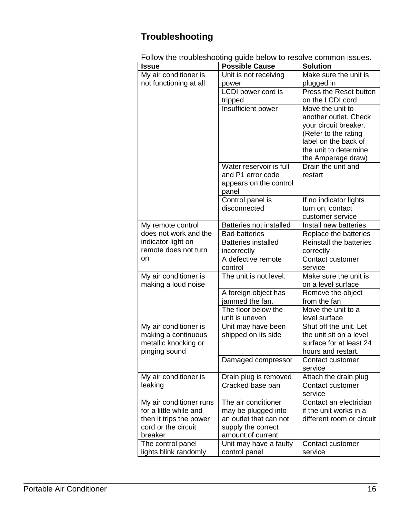## <span id="page-18-0"></span>**Troubleshooting**

Follow the troubleshooting guide below to resolve common issues.

| Issue                   | <b>Possible Cause</b>          | <b>Solution</b>                |
|-------------------------|--------------------------------|--------------------------------|
| My air conditioner is   | Unit is not receiving          | Make sure the unit is          |
| not functioning at all  | power                          | plugged in                     |
|                         | LCDI power cord is             | Press the Reset button         |
|                         | tripped                        | on the LCDI cord               |
|                         | Insufficient power             | Move the unit to               |
|                         |                                | another outlet. Check          |
|                         |                                | your circuit breaker.          |
|                         |                                | (Refer to the rating           |
|                         |                                | label on the back of           |
|                         |                                | the unit to determine          |
|                         |                                | the Amperage draw)             |
|                         | Water reservoir is full        | Drain the unit and             |
|                         | and P1 error code              | restart                        |
|                         | appears on the control         |                                |
|                         | panel                          |                                |
|                         | Control panel is               | If no indicator lights         |
|                         | disconnected                   | turn on, contact               |
|                         |                                | customer service               |
| My remote control       | <b>Batteries not installed</b> | Install new batteries          |
| does not work and the   | <b>Bad batteries</b>           | Replace the batteries          |
| indicator light on      | <b>Batteries installed</b>     | <b>Reinstall the batteries</b> |
| remote does not turn    | incorrectly                    | correctly                      |
| on                      | A defective remote             | Contact customer               |
|                         | control                        | service                        |
| My air conditioner is   | The unit is not level.         | Make sure the unit is          |
| making a loud noise     |                                | on a level surface             |
|                         | A foreign object has           | Remove the object              |
|                         | jammed the fan.                | from the fan                   |
|                         | The floor below the            | Move the unit to a             |
|                         | unit is uneven                 | level surface                  |
| My air conditioner is   | Unit may have been             | Shut off the unit. Let         |
| making a continuous     | shipped on its side            | the unit sit on a level        |
| metallic knocking or    |                                | surface for at least 24        |
| pinging sound           |                                | hours and restart.             |
|                         | Damaged compressor             | Contact customer               |
|                         |                                | service                        |
| My air conditioner is   | Drain plug is removed          | Attach the drain plug          |
| leaking                 | Cracked base pan               | Contact customer               |
|                         |                                | service                        |
| My air conditioner runs | The air conditioner            | Contact an electrician         |
| for a little while and  | may be plugged into            | if the unit works in a         |
| then it trips the power | an outlet that can not         | different room or circuit      |
| cord or the circuit     | supply the correct             |                                |
| breaker                 | amount of current              |                                |
| The control panel       | Unit may have a faulty         | Contact customer               |
| lights blink randomly   | control panel                  | service                        |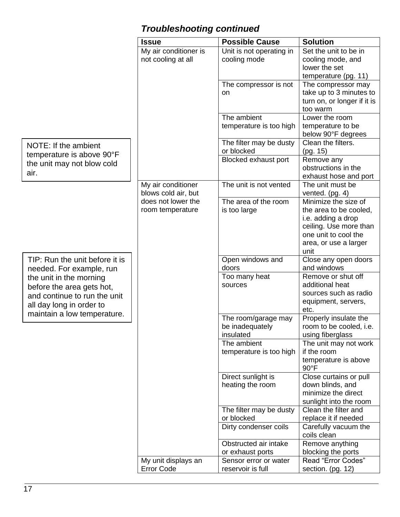## <span id="page-19-0"></span>*Troubleshooting continued*

|                                | <b>Issue</b>          | <b>Possible Cause</b>        | <b>Solution</b>                                  |
|--------------------------------|-----------------------|------------------------------|--------------------------------------------------|
|                                | My air conditioner is | Unit is not operating in     | Set the unit to be in                            |
|                                | not cooling at all    | cooling mode                 | cooling mode, and                                |
|                                |                       |                              | lower the set                                    |
|                                |                       |                              | temperature (pg. 11)                             |
|                                |                       | The compressor is not        | The compressor may                               |
|                                |                       | on                           | take up to 3 minutes to                          |
|                                |                       |                              | turn on, or longer if it is                      |
|                                |                       |                              | too warm                                         |
|                                |                       | The ambient                  | Lower the room                                   |
|                                |                       | temperature is too high      | temperature to be                                |
|                                |                       |                              | below 90°F degrees                               |
| NOTE: If the ambient           |                       | The filter may be dusty      | Clean the filters.                               |
| temperature is above 90°F      |                       | or blocked                   | (pg. 15)                                         |
| the unit may not blow cold     |                       | Blocked exhaust port         | Remove any<br>obstructions in the                |
| air.                           |                       |                              |                                                  |
|                                | My air conditioner    | The unit is not vented       | exhaust hose and port<br>The unit must be        |
|                                | blows cold air, but   |                              | vented. $(pg. 4)$                                |
|                                | does not lower the    | The area of the room         | Minimize the size of                             |
|                                | room temperature      | is too large                 | the area to be cooled,                           |
|                                |                       |                              | i.e. adding a drop                               |
|                                |                       |                              | ceiling. Use more than                           |
|                                |                       |                              | one unit to cool the                             |
|                                |                       |                              | area, or use a larger                            |
|                                |                       |                              | unit                                             |
| TIP: Run the unit before it is |                       | Open windows and             | Close any open doors                             |
| needed. For example, run       |                       | doors                        | and windows                                      |
| the unit in the morning        |                       | Too many heat                | Remove or shut off                               |
| before the area gets hot,      |                       | sources                      | additional heat                                  |
| and continue to run the unit   |                       |                              | sources such as radio                            |
| all day long in order to       |                       |                              | equipment, servers,                              |
| maintain a low temperature.    |                       |                              | etc.                                             |
|                                |                       | The room/garage may          | Properly insulate the<br>room to be cooled, i.e. |
|                                |                       | be inadequately<br>insulated | using fiberglass                                 |
|                                |                       | The ambient                  | The unit may not work                            |
|                                |                       | temperature is too high      | if the room                                      |
|                                |                       |                              | temperature is above                             |
|                                |                       |                              | $90^{\circ}$ F                                   |
|                                |                       | Direct sunlight is           | Close curtains or pull                           |
|                                |                       | heating the room             | down blinds, and                                 |
|                                |                       |                              | minimize the direct                              |
|                                |                       |                              | sunlight into the room                           |
|                                |                       | The filter may be dusty      | Clean the filter and                             |
|                                |                       | or blocked                   | replace it if needed                             |
|                                |                       | Dirty condenser coils        | Carefully vacuum the                             |
|                                |                       |                              | coils clean                                      |
|                                |                       | Obstructed air intake        | Remove anything                                  |
|                                |                       | or exhaust ports             | blocking the ports                               |
|                                | My unit displays an   | Sensor error or water        | Read "Error Codes"                               |
|                                | <b>Error Code</b>     | reservoir is full            | section. (pg. 12)                                |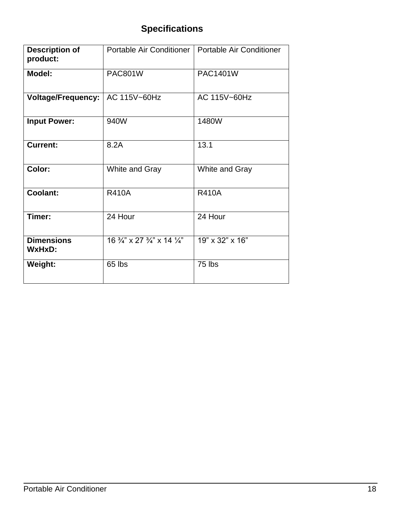## <span id="page-20-0"></span>**Specifications**

| <b>Description of</b><br>product:  |                                                              | Portable Air Conditioner   Portable Air Conditioner |
|------------------------------------|--------------------------------------------------------------|-----------------------------------------------------|
| <b>Model:</b>                      | <b>PAC801W</b>                                               | PAC1401W                                            |
| <b>Voltage/Frequency:</b>          | AC 115V~60Hz                                                 | AC 115V~60Hz                                        |
| <b>Input Power:</b>                | 940W                                                         | 1480W                                               |
| <b>Current:</b>                    | 8.2A                                                         | 13.1                                                |
| Color:                             | White and Gray                                               | White and Gray                                      |
| <b>Coolant:</b>                    | <b>R410A</b>                                                 | <b>R410A</b>                                        |
| Timer:                             | 24 Hour                                                      | 24 Hour                                             |
| <b>Dimensions</b><br><b>WxHxD:</b> | 16 $\frac{3}{4}$ " x 27 $\frac{3}{4}$ " x 14 $\frac{1}{4}$ " | 19" x 32" x 16"                                     |
| Weight:                            | 65 lbs                                                       | 75 lbs                                              |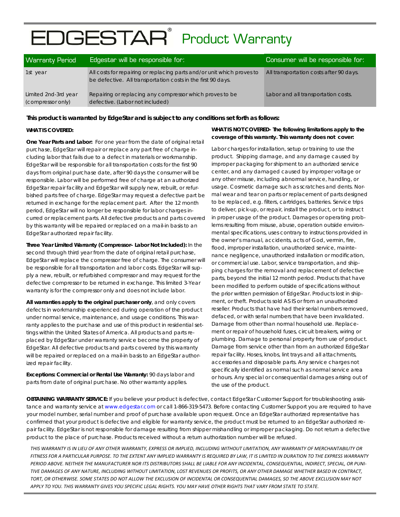# EDGESTAR<sup>®</sup> Product Warranty

| <b>Warranty Period</b>                    | Edgestar will be responsible for:                                                                                                      | Consumer will be responsible for:       |
|-------------------------------------------|----------------------------------------------------------------------------------------------------------------------------------------|-----------------------------------------|
| 1st year                                  | All costs for repairing or replacing parts and/or unit which proves to<br>be defective. All transportation costs in the first 90 days. | All transportation costs after 90 days. |
| Limited 2nd-3rd year<br>(compressor only) | Repairing or replacing any compressor which proves to be<br>defective. (Labor not included)                                            | Labor and all transportation costs.     |

**This product is warranted by EdgeStar and is subject to any conditions set forth as follows:**

#### **WHAT IS COVERED:**

**One Year Parts and Labor:** For one year from the date of original retail purchase, EdgeStar will repair or replace any part free of charge including labor that fails due to a defect in materials or workmanship. EdgeStar will be responsible for all transportation costs for the first 90 days from original purchase date, after 90 days the consumer will be responsible. Labor will be performed free of charge at an authorized EdgeStar repair facility and EdgeStar will supply new, rebuilt, or refurbished parts free of charge. EdgeStar may request a defective part be returned in exchange for the replacement part. After the 12 month period, EdgeStar will no longer be responsible for labor charges incurred or replacement parts. All defective products and parts covered by this warranty will be repaired or replaced on a mail-in basis to an EdgeStar authorized repair facility.

**Three Year Limited Warranty (Compressor– Labor Not Included):** In the second through third year from the date of original retail purchase, EdgeStar will replace the compressor free of charge. The consumer will be responsible for all transportation and labor costs. EdgeStar will supply a new, rebuilt, or refurbished compressor and may request for the defective compressor to be returned in exchange. This limited 3-Year warranty is for the compressor only and does not include labor.

**All warranties apply to the original purchaser only**, and only covers defects in workmanship experienced during operation of the product under normal service, maintenance, and usage conditions. This warranty applies to the purchase and use of this product in residential settings within the United States of America. All products and parts replaced by EdgeStar under warranty service become the property of EdgeStar. All defective products and parts covered by this warranty will be repaired or replaced on a mail-in basis to an EdgeStar authorized repair facility.

**Exceptions: Commercial or Rental Use Warranty:** 90 days labor and parts from date of original purchase. No other warranty applies.

#### **WHAT IS NOT COVERED- The following limitations apply to the coverage of this warranty. This warranty does not cover:**

Labor charges for installation, setup or training to use the product. Shipping damage, and any damage caused by improper packaging for shipment to an authorized service center, and any damaged caused by improper voltage or any other misuse, including abnormal service, handling, or usage. Cosmetic damage such as scratches and dents. Normal wear and tear on parts or replacement of parts designed to be replaced, e.g. filters, cartridges, batteries. Service trips to deliver, pick-up, or repair, install the product, or to instruct in proper usage of the product. Damages or operating problems resulting from misuse, abuse, operation outside environmental specifications, uses contrary to instructions provided in the owner's manual, accidents, acts of God, vermin, fire, flood, improper installation, unauthorized service, maintenance negligence, unauthorized installation or modification, or commercial use. Labor, service transportation, and shipping charges for the removal and replacement of defective parts, beyond the initial 12 month period. Products that have been modified to perform outside of specifications without the prior written permission of EdgeStar. Products lost in shipment, or theft. Products sold AS IS or from an unauthorized reseller. Products that have had their serial numbers removed, defaced, or with serial numbers that have been invalidated. Damage from other than normal household use. Replacement or repair of household fuses, circuit breakers, wiring or plumbing. Damage to personal property from use of product. Damage from service other than from an authorized EdgeStar repair facility. Hoses, knobs, lint trays and all attachments, accessories and disposable parts. Any service charges not specifically identified as normal such as normal service area or hours. Any special or consequential damages arising out of the use of the product.

**OBTAINING WARRANTY SERVICE:** If you believe your product is defective, contact EdgeStar Customer Support for troubleshooting assistance and warranty service at www.edgestar.com or call 1-866-319-5473. Before contacting Customer Support you are required to have your model number, serial number and proof of purchase available upon request. Once an EdgeStar authorized representative has confirmed that your product is defective and eligible for warranty service, the product must be returned to an EdgeStar authorized repair facility. EdgeStar is not responsible for damage resulting from shipper mishandling or improper packaging. Do not return a defective product to the place of purchase. Products received without a return authorization number will be refused.

THIS WARRANTY IS IN LIEU OF ANY OTHER WARRANTY, EXPRESS OR IMPLIED, INCLUDING WITHOUT LIMITATION, ANY WARRANTY OF MERCHANTABILITY OR FITNESS FOR A PARTICULAR PURPOSE. TO THE EXTENT ANY IMPLIED WARRANTY IS REQUIRED BY LAW, IT IS LIMITED IN DURATION TO THE EXPRESS WARRANTY PERIOD ABOVE. NEITHER THE MANUFACTURER NOR ITS DISTRIBUTORS SHALL BE LIABLE FOR ANY INCIDENTAL, CONSEQUENTIAL, INDIRECT, SPECIAL, OR PUNI-TIVE DAMAGES OF ANY NATURE, INCLUDING WITHOUT LIMITATION, LOST REVENUES OR PROFITS, OR ANY OTHER DAMAGE WHETHER BASED IN CONTRACT, TORT, OR OTHERWISE, SOME STATES DO NOT ALLOW THE EXCLUSION OF INCIDENTAL OR CONSEQUENTIAL DAMAGES. SO THE ABOVE EXCLUSION MAY NOT APPLY TO YOU. THIS WARRANTY GIVES YOU SPECIFIC LEGAL RIGHTS. YOU MAY HAVE OTHER RIGHTS THAT VARY FROM STATE TO STATE.